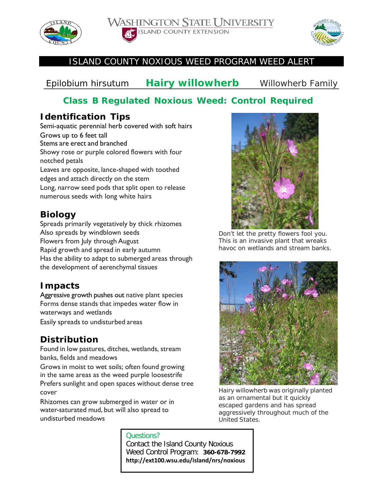





#### ISLAND COUNTY NOXIOUS WEED PROGRAM WEED ALERT

# *Epilobium hirsutum* **Hairy willowherb**Willowherb Family

## **Class B Regulated Noxious Weed: Control Required**

### **Identification Tips**

Semi-aquatic perennial herb covered with soft hairs Grows up to 6 feet tall Stems are erect and branched Showy rose or purple colored flowers with four notched petals Leaves are opposite, lance-shaped with toothed edges and attach directly on the stem Long, narrow seed pods that split open to release numerous seeds with long white hairs

## **Biology**

Spreads primarily vegetatively by thick rhizomes Also spreads by windblown seeds Flowers from July through August Rapid growth and spread in early autumn Has the ability to adapt to submerged areas through the development of aerenchymal tissues

### **Impacts**

Aggressive growth pushes out native plant species Forms dense stands that impedes water flow in waterways and wetlands

Easily spreads to undisturbed areas

### **Distribution**

Found in low pastures, ditches, wetlands, stream banks, fields and meadows

Grows in moist to wet soils; often found growing in the same areas as the weed purple loosestrife Prefers sunlight and open spaces without dense tree

cover

Rhizomes can grow submerged in water or in water-saturated mud, but will also spread to undisturbed meadows



*Don't let the pretty flowers fool you. This is an invasive plant that wreaks havoc on wetlands and stream banks.*



*Hairy willowherb was originally planted as an ornamental but it quickly escaped gardens and has spread aggressively throughout much of the United States.*

Questions? Contact the Island County Noxious Weed Control Program: **360-678-799[2](http://www.kingcounty.gov/weeds)  [http://ext100.wsu.edu/island/nrs/noxious](http://www.kingcounty.gov/weeds)**